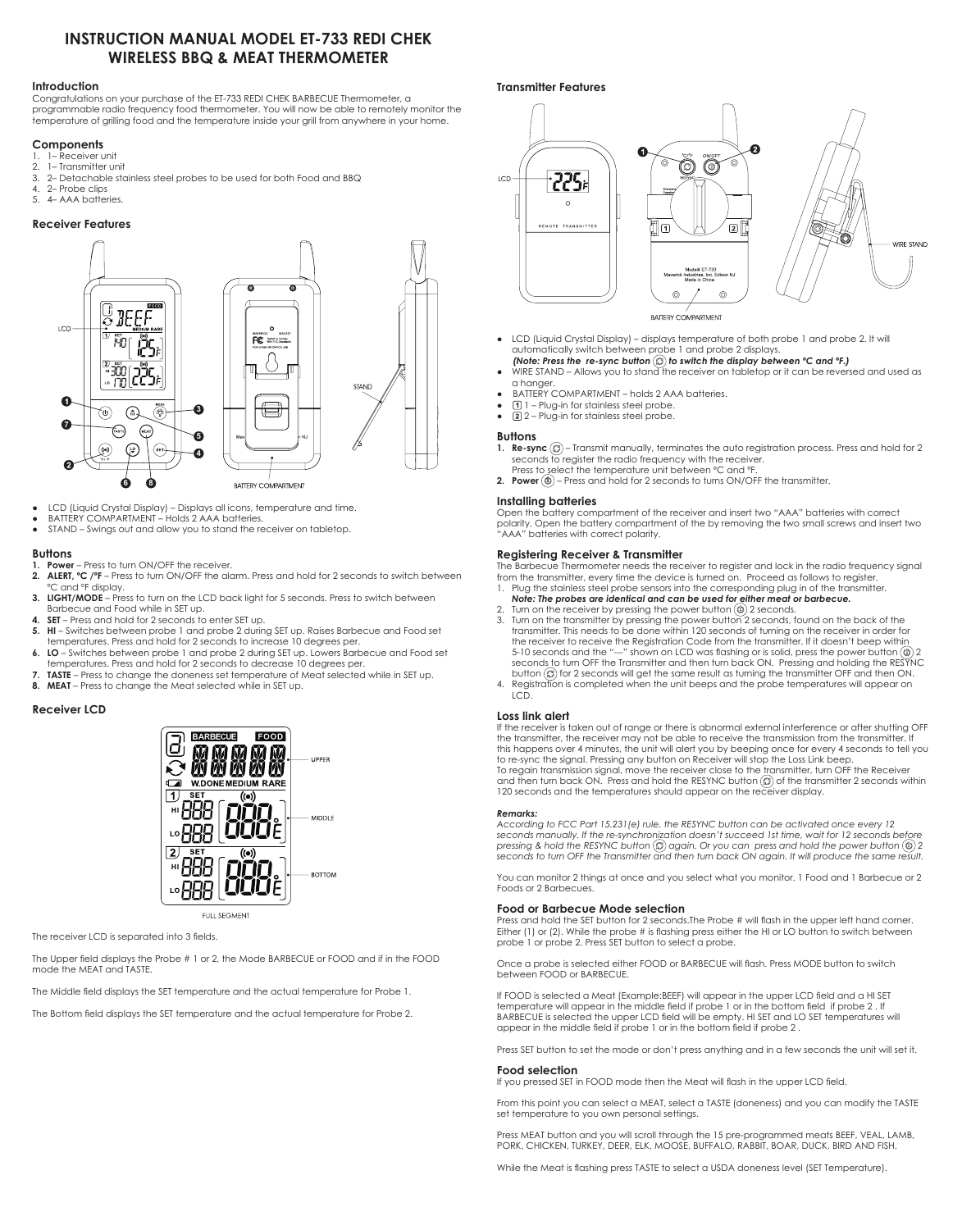# **INSTRUCTION MANUAL MODEL ET-733 REDI CHEK WIRELESS BBQ & MEAT THERMOMETER**

### **Introduction**

Congratulations on your purchase of the ET-733 REDI CHEK BARBECUE Thermometer, a programmable radio frequency food thermometer. You will now be able to remotely monitor the temperature of grilling food and the temperature inside your grill from anywhere in your home.

### **Components**

- 1. 1– Receiver unit
- 2. 1– Transmitter unit<br>3. 2– Detachable sta
- 3. 2– Detachable stainless steel probes to be used for both Food and BBQ
- 4. 2– Probe clips
- 5. 4– AAA batteries.

### **Receiver Features**



- ● LCD (Liquid Crystal Display) Displays all icons, temperature and time.
- BATTERY COMPARTMENT Holds 2 AAA batteries.
- STAND Swings out and allow you to stand the receiver on tabletop.

### **Buttons**

- **1. Power** Press to turn ON/OFF the receiver.
- **2. ALERT, ºC /ºF** Press to turn ON/OFF the alarm. Press and hold for 2 seconds to switch between °C and °F display.
- **3. LIGHT/MODE** Press to turn on the LCD back light for 5 seconds. Press to switch between Barbecue and Food while in SET up.
- **4. SET** Press and hold for 2 seconds to enter SET up.
- **5. HI** Switches between probe 1 and probe 2 during SET up. Raises Barbecue and Food set temperatures. Press and hold for 2 seconds to increase 10 degrees per.
- **6. LO** Switches between probe 1 and probe 2 during SET up. Lowers Barbecue and Food set temperatures. Press and hold for 2 seconds to decrease 10 degrees per.
- **7. TASTE** Press to change the doneness set temperature of Meat selected while in SET up.
- **8. MEAT** Press to change the Meat selected while in SET up.

# **Receiver LCD**



**FULL SEGMENT** 

### The receiver LCD is separated into 3 fields.

The Upper field displays the Probe # 1 or 2, the Mode BARBECUE or FOOD and if in the FOOD mode the MEAT and TASTE.

The Middle field displays the SET temperature and the actual temperature for Probe 1.

The Bottom field displays the SET temperature and the actual temperature for Probe 2.

# **Transmitter Features**



BATTERY COMPARTMENT

- LCD (Liquid Crystal Display) displays temperature of both probe 1 and probe 2. It will automatically switch between probe 1 and probe 2 displays.
- *(Note: Press the re-sync button*  $\textcircled{c}$ *) to switch the display between*  $\textcirc$ *C and*  $\textcirc$ *F.)*
- WIRE STAND Allows you to stand the receiver on tabletop or it can be reversed and used as a hanger.
- **BATTERY COMPARTMENT holds 2 AAA batteries.**
- $\bullet$   $\Box$  1 Plug-in for stainless steel probe.
- $\bullet$   $\Box$  2 Plug-in for stainless steel probe.

### **Buttons**

- **1. Re-sync**  $\textcircled{2}$  Transmit manually, terminates the auto registration process. Press and hold for 2 seconds to register the radio frequency with the receiver.
- Press to select the temperature unit between ºC and ºF. **2. Power**  $\textcircled{1}$  – Press and hold for 2 seconds to turns ON/OFF the transmitter.
- **Installing batteries**

Open the battery compartment of the receiver and insert two "AAA" batteries with correct polarity. Open the battery compartment of the by removing the two small screws and insert two "AAA" batteries with correct polarity.

### **Registering Receiver & Transmitter**

The Barbecue Thermometer needs the receiver to register and lock in the radio frequency signal from the transmitter, every time the device is turned on. Proceed as follows to register.

- Plug the stainless steel probe sensors into the corresponding plug in of the transmitter. *Note: The probes are identical and can be used for either meat or barbecue.*
- Turn on the receiver by pressing the power button  $(\mathbb{D})$  2 seconds.
- Turn on the transmitter by pressing the power button 2 seconds, found on the back of the transmitter. This needs to be done within 120 seconds of turning on the receiver in order for the receiver to receive the Registration Code from the transmitter. If it doesn't beep within 5-10 seconds and the "---" shown on LCD was flashing or is solid, press the power button  $\circleda$  2 seconds to turn OFF the Transmitter and then turn back ON. Pressing and holding the RESYNC button  $\circledB$  for 2 seconds will get the same result as turning the transmitter OFF and then ON.
- 4. Registration is completed when the unit beeps and the probe temperatures will appear on LCD.

### **Loss link alert**

If the receiver is taken out of range or there is abnormal external interference or after shutting OFF the transmitter, the receiver may not be able to receive the transmission from the transmitter. If this happens over 4 minutes, the unit will alert you by beeping once for every 4 seconds to tell you to re-sync the signal. Pressing any button on Receiver will stop the Loss Link beep. To regain transmission signal, move the receiver close to the transmitter, turn OFF the Receiver and then turn back ON. Press and hold the RESYNC button  $\mathcal{C}$  of the transmitter 2 seconds within 120 seconds and the temperatures should appear on the receiver display.

#### *Remarks:*

*According to FCC Part 15.231(e) rule, the RESYNC button can be activated once every 12 seconds manually. If the re-synchronization doesn't succeed 1st time, wait for 12 seconds before pressing & hold the RESYNC button*  $\circled{c}$  *again. Or you can press and hold the power button*  $\circled{d}$  *2 seconds to turn OFF the Transmitter and then turn back ON again. It will produce the same result.* 

You can monitor 2 things at once and you select what you monitor. 1 Food and 1 Barbecue or 2 Foods or 2 Barbecues.

### **Food or Barbecue Mode selection**

Press and hold the SET button for 2 seconds.The Probe # will flash in the upper left hand corner. Either (1) or (2). While the probe # is flashing press either the HI or LO button to switch between probe 1 or probe 2. Press SET button to select a probe.

Once a probe is selected either FOOD or BARBECUE will flash. Press MODE button to switch between FOOD or BARBECUE.

If FOOD is selected a Meat (Example:BEEF) will appear in the upper LCD field and a HI SET temperature will appear in the middle field if probe 1 or in the bottom field if probe 2 . If BARBECUE is selected the upper LCD field will be empty. HI SET and LO SET temperatures will appear in the middle field if probe 1 or in the bottom field if probe 2 .

Press SET button to set the mode or don't press anything and in a few seconds the unit will set it.

#### **Food selection** If you pressed SET in FOOD mode then the Meat will flash in the upper LCD field.

From this point you can select a MEAT, select a TASTE (doneness) and you can modify the TASTE set temperature to you own personal settings.

Press MEAT button and you will scroll through the 15 pre-programmed meats BEEF, VEAL, LAMB, PORK, CHICKEN, TURKEY, DEER, ELK, MOOSE, BUFFALO, RABBIT, BOAR, DUCK, BIRD AND FISH.

While the Meat is flashing press TASTE to select a USDA doneness level (SET Temperature).